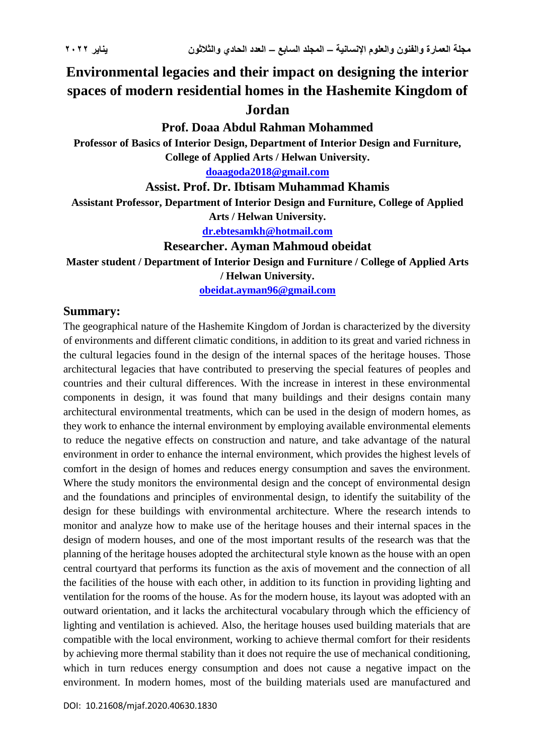# **Environmental legacies and their impact on designing the interior spaces of modern residential homes in the Hashemite Kingdom of Jordan**

#### **Prof. Doaa Abdul Rahman Mohammed**

**Professor of Basics of Interior Design, Department of Interior Design and Furniture, College of Applied Arts / Helwan University.**

**[doaagoda2018@gmail.com](mailto:doaagoda2018@gmail.com)**

#### **Assist. Prof. Dr. Ibtisam Muhammad Khamis**

**Assistant Professor, Department of Interior Design and Furniture, College of Applied** 

**Arts / Helwan University.**

**[dr.ebtesamkh@hotmail.com](mailto:dr.ebtesamkh@hotmail.com)**

#### **Researcher. Ayman Mahmoud obeidat**

**Master student / Department of Interior Design and Furniture / College of Applied Arts / Helwan University.**

**[obeidat.ayman96@gmail.com](mailto:obeidat.ayman96@gmail.com)**

#### **Summary:**

The geographical nature of the Hashemite Kingdom of Jordan is characterized by the diversity of environments and different climatic conditions, in addition to its great and varied richness in the cultural legacies found in the design of the internal spaces of the heritage houses. Those architectural legacies that have contributed to preserving the special features of peoples and countries and their cultural differences. With the increase in interest in these environmental components in design, it was found that many buildings and their designs contain many architectural environmental treatments, which can be used in the design of modern homes, as they work to enhance the internal environment by employing available environmental elements to reduce the negative effects on construction and nature, and take advantage of the natural environment in order to enhance the internal environment, which provides the highest levels of comfort in the design of homes and reduces energy consumption and saves the environment. Where the study monitors the environmental design and the concept of environmental design and the foundations and principles of environmental design, to identify the suitability of the design for these buildings with environmental architecture. Where the research intends to monitor and analyze how to make use of the heritage houses and their internal spaces in the design of modern houses, and one of the most important results of the research was that the planning of the heritage houses adopted the architectural style known as the house with an open central courtyard that performs its function as the axis of movement and the connection of all the facilities of the house with each other, in addition to its function in providing lighting and ventilation for the rooms of the house. As for the modern house, its layout was adopted with an outward orientation, and it lacks the architectural vocabulary through which the efficiency of lighting and ventilation is achieved. Also, the heritage houses used building materials that are compatible with the local environment, working to achieve thermal comfort for their residents by achieving more thermal stability than it does not require the use of mechanical conditioning, which in turn reduces energy consumption and does not cause a negative impact on the environment. In modern homes, most of the building materials used are manufactured and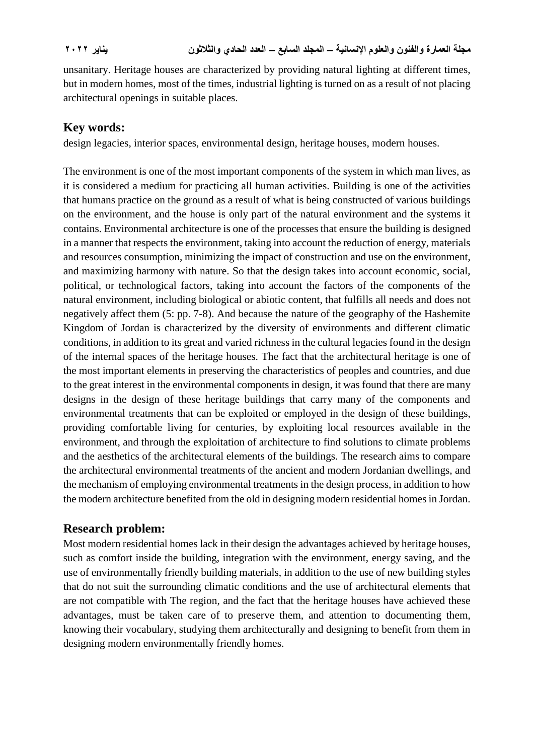unsanitary. Heritage houses are characterized by providing natural lighting at different times, but in modern homes, most of the times, industrial lighting is turned on as a result of not placing architectural openings in suitable places.

### **Key words:**

design legacies, interior spaces, environmental design, heritage houses, modern houses.

The environment is one of the most important components of the system in which man lives, as it is considered a medium for practicing all human activities. Building is one of the activities that humans practice on the ground as a result of what is being constructed of various buildings on the environment, and the house is only part of the natural environment and the systems it contains. Environmental architecture is one of the processes that ensure the building is designed in a manner that respects the environment, taking into account the reduction of energy, materials and resources consumption, minimizing the impact of construction and use on the environment, and maximizing harmony with nature. So that the design takes into account economic, social, political, or technological factors, taking into account the factors of the components of the natural environment, including biological or abiotic content, that fulfills all needs and does not negatively affect them (5: pp. 7-8). And because the nature of the geography of the Hashemite Kingdom of Jordan is characterized by the diversity of environments and different climatic conditions, in addition to its great and varied richness in the cultural legacies found in the design of the internal spaces of the heritage houses. The fact that the architectural heritage is one of the most important elements in preserving the characteristics of peoples and countries, and due to the great interest in the environmental components in design, it was found that there are many designs in the design of these heritage buildings that carry many of the components and environmental treatments that can be exploited or employed in the design of these buildings, providing comfortable living for centuries, by exploiting local resources available in the environment, and through the exploitation of architecture to find solutions to climate problems and the aesthetics of the architectural elements of the buildings. The research aims to compare the architectural environmental treatments of the ancient and modern Jordanian dwellings, and the mechanism of employing environmental treatments in the design process, in addition to how the modern architecture benefited from the old in designing modern residential homes in Jordan.

# **Research problem:**

Most modern residential homes lack in their design the advantages achieved by heritage houses, such as comfort inside the building, integration with the environment, energy saving, and the use of environmentally friendly building materials, in addition to the use of new building styles that do not suit the surrounding climatic conditions and the use of architectural elements that are not compatible with The region, and the fact that the heritage houses have achieved these advantages, must be taken care of to preserve them, and attention to documenting them, knowing their vocabulary, studying them architecturally and designing to benefit from them in designing modern environmentally friendly homes.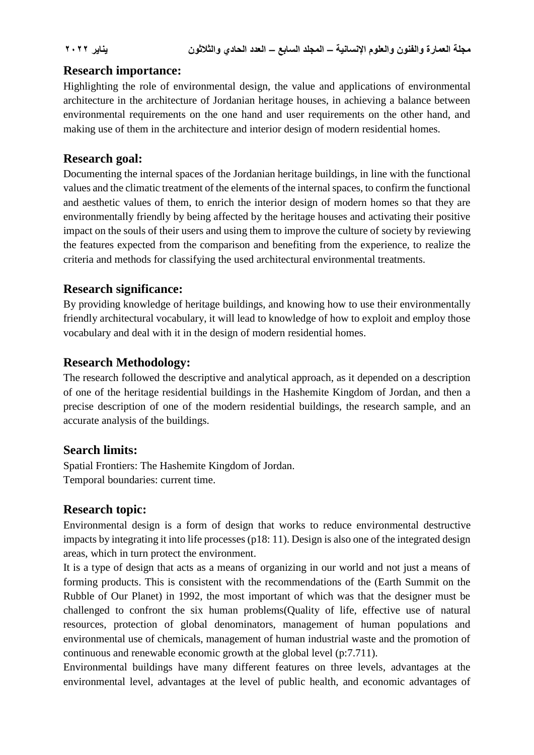#### **Research importance:**

Highlighting the role of environmental design, the value and applications of environmental architecture in the architecture of Jordanian heritage houses, in achieving a balance between environmental requirements on the one hand and user requirements on the other hand, and making use of them in the architecture and interior design of modern residential homes.

### **Research goal:**

Documenting the internal spaces of the Jordanian heritage buildings, in line with the functional values and the climatic treatment of the elements of the internal spaces, to confirm the functional and aesthetic values of them, to enrich the interior design of modern homes so that they are environmentally friendly by being affected by the heritage houses and activating their positive impact on the souls of their users and using them to improve the culture of society by reviewing the features expected from the comparison and benefiting from the experience, to realize the criteria and methods for classifying the used architectural environmental treatments.

# **Research significance:**

By providing knowledge of heritage buildings, and knowing how to use their environmentally friendly architectural vocabulary, it will lead to knowledge of how to exploit and employ those vocabulary and deal with it in the design of modern residential homes.

### **Research Methodology:**

The research followed the descriptive and analytical approach, as it depended on a description of one of the heritage residential buildings in the Hashemite Kingdom of Jordan, and then a precise description of one of the modern residential buildings, the research sample, and an accurate analysis of the buildings.

#### **Search limits:**

Spatial Frontiers: The Hashemite Kingdom of Jordan. Temporal boundaries: current time.

# **Research topic:**

Environmental design is a form of design that works to reduce environmental destructive impacts by integrating it into life processes (p18: 11). Design is also one of the integrated design areas, which in turn protect the environment.

It is a type of design that acts as a means of organizing in our world and not just a means of forming products. This is consistent with the recommendations of the (Earth Summit on the Rubble of Our Planet) in 1992, the most important of which was that the designer must be challenged to confront the six human problems(Quality of life, effective use of natural resources, protection of global denominators, management of human populations and environmental use of chemicals, management of human industrial waste and the promotion of continuous and renewable economic growth at the global level (p:7.711).

Environmental buildings have many different features on three levels, advantages at the environmental level, advantages at the level of public health, and economic advantages of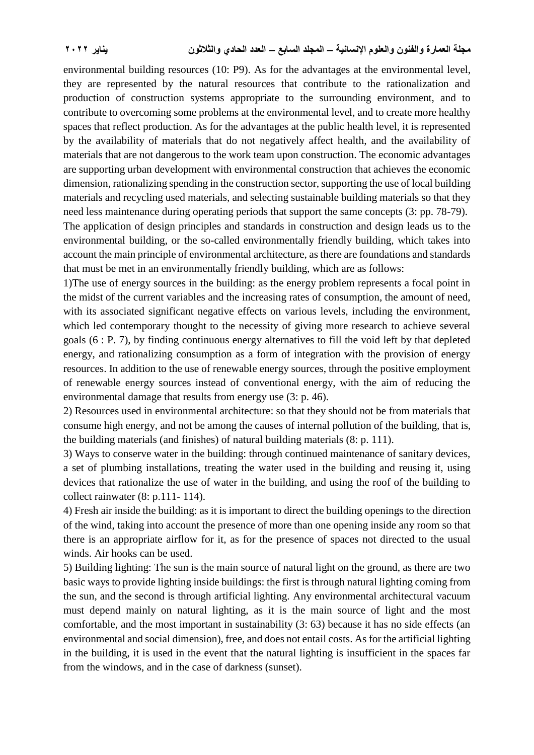environmental building resources (10: P9). As for the advantages at the environmental level, they are represented by the natural resources that contribute to the rationalization and production of construction systems appropriate to the surrounding environment, and to contribute to overcoming some problems at the environmental level, and to create more healthy spaces that reflect production. As for the advantages at the public health level, it is represented by the availability of materials that do not negatively affect health, and the availability of materials that are not dangerous to the work team upon construction. The economic advantages are supporting urban development with environmental construction that achieves the economic dimension, rationalizing spending in the construction sector, supporting the use of local building materials and recycling used materials, and selecting sustainable building materials so that they need less maintenance during operating periods that support the same concepts (3: pp. 78-79).

The application of design principles and standards in construction and design leads us to the environmental building, or the so-called environmentally friendly building, which takes into account the main principle of environmental architecture, as there are foundations and standards that must be met in an environmentally friendly building, which are as follows:

1)The use of energy sources in the building: as the energy problem represents a focal point in the midst of the current variables and the increasing rates of consumption, the amount of need, with its associated significant negative effects on various levels, including the environment, which led contemporary thought to the necessity of giving more research to achieve several goals (6 : P. 7), by finding continuous energy alternatives to fill the void left by that depleted energy, and rationalizing consumption as a form of integration with the provision of energy resources. In addition to the use of renewable energy sources, through the positive employment of renewable energy sources instead of conventional energy, with the aim of reducing the environmental damage that results from energy use (3: p. 46).

2) Resources used in environmental architecture: so that they should not be from materials that consume high energy, and not be among the causes of internal pollution of the building, that is, the building materials (and finishes) of natural building materials (8: p. 111).

3) Ways to conserve water in the building: through continued maintenance of sanitary devices, a set of plumbing installations, treating the water used in the building and reusing it, using devices that rationalize the use of water in the building, and using the roof of the building to collect rainwater (8: p.111- 114).

4) Fresh air inside the building: as it is important to direct the building openings to the direction of the wind, taking into account the presence of more than one opening inside any room so that there is an appropriate airflow for it, as for the presence of spaces not directed to the usual winds. Air hooks can be used.

5) Building lighting: The sun is the main source of natural light on the ground, as there are two basic ways to provide lighting inside buildings: the first is through natural lighting coming from the sun, and the second is through artificial lighting. Any environmental architectural vacuum must depend mainly on natural lighting, as it is the main source of light and the most comfortable, and the most important in sustainability (3: 63) because it has no side effects (an environmental and social dimension), free, and does not entail costs. As for the artificial lighting in the building, it is used in the event that the natural lighting is insufficient in the spaces far from the windows, and in the case of darkness (sunset).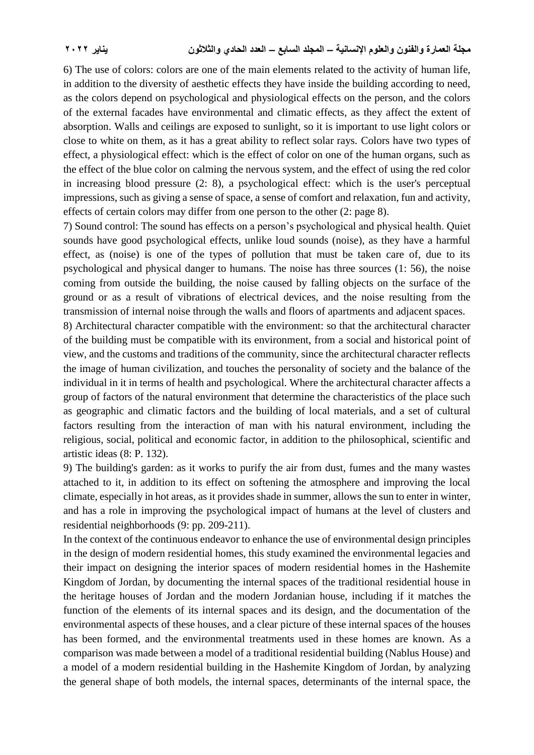6) The use of colors: colors are one of the main elements related to the activity of human life, in addition to the diversity of aesthetic effects they have inside the building according to need, as the colors depend on psychological and physiological effects on the person, and the colors of the external facades have environmental and climatic effects, as they affect the extent of absorption. Walls and ceilings are exposed to sunlight, so it is important to use light colors or close to white on them, as it has a great ability to reflect solar rays. Colors have two types of effect, a physiological effect: which is the effect of color on one of the human organs, such as the effect of the blue color on calming the nervous system, and the effect of using the red color in increasing blood pressure (2: 8), a psychological effect: which is the user's perceptual impressions, such as giving a sense of space, a sense of comfort and relaxation, fun and activity, effects of certain colors may differ from one person to the other (2: page 8).

7) Sound control: The sound has effects on a person's psychological and physical health. Quiet sounds have good psychological effects, unlike loud sounds (noise), as they have a harmful effect, as (noise) is one of the types of pollution that must be taken care of, due to its psychological and physical danger to humans. The noise has three sources (1: 56), the noise coming from outside the building, the noise caused by falling objects on the surface of the ground or as a result of vibrations of electrical devices, and the noise resulting from the transmission of internal noise through the walls and floors of apartments and adjacent spaces.

8) Architectural character compatible with the environment: so that the architectural character of the building must be compatible with its environment, from a social and historical point of view, and the customs and traditions of the community, since the architectural character reflects the image of human civilization, and touches the personality of society and the balance of the individual in it in terms of health and psychological. Where the architectural character affects a group of factors of the natural environment that determine the characteristics of the place such as geographic and climatic factors and the building of local materials, and a set of cultural factors resulting from the interaction of man with his natural environment, including the religious, social, political and economic factor, in addition to the philosophical, scientific and artistic ideas (8: P. 132).

9) The building's garden: as it works to purify the air from dust, fumes and the many wastes attached to it, in addition to its effect on softening the atmosphere and improving the local climate, especially in hot areas, as it provides shade in summer, allows the sun to enter in winter, and has a role in improving the psychological impact of humans at the level of clusters and residential neighborhoods (9: pp. 209-211).

In the context of the continuous endeavor to enhance the use of environmental design principles in the design of modern residential homes, this study examined the environmental legacies and their impact on designing the interior spaces of modern residential homes in the Hashemite Kingdom of Jordan, by documenting the internal spaces of the traditional residential house in the heritage houses of Jordan and the modern Jordanian house, including if it matches the function of the elements of its internal spaces and its design, and the documentation of the environmental aspects of these houses, and a clear picture of these internal spaces of the houses has been formed, and the environmental treatments used in these homes are known. As a comparison was made between a model of a traditional residential building (Nablus House) and a model of a modern residential building in the Hashemite Kingdom of Jordan, by analyzing the general shape of both models, the internal spaces, determinants of the internal space, the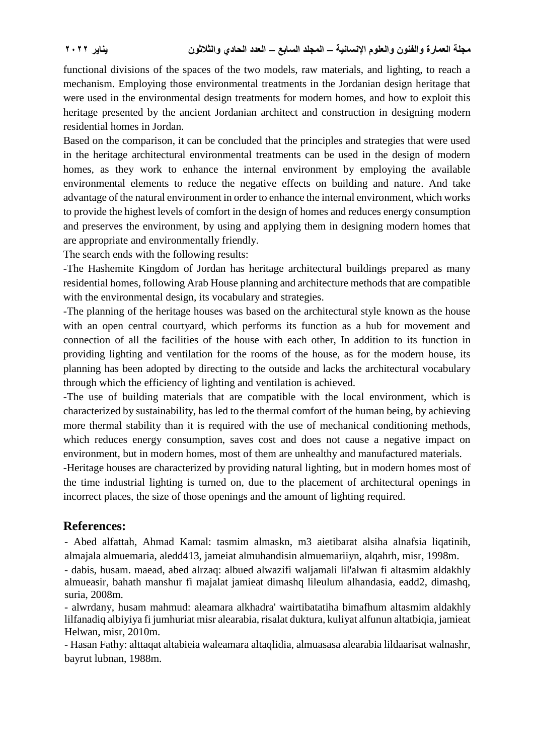functional divisions of the spaces of the two models, raw materials, and lighting, to reach a mechanism. Employing those environmental treatments in the Jordanian design heritage that were used in the environmental design treatments for modern homes, and how to exploit this heritage presented by the ancient Jordanian architect and construction in designing modern residential homes in Jordan.

Based on the comparison, it can be concluded that the principles and strategies that were used in the heritage architectural environmental treatments can be used in the design of modern homes, as they work to enhance the internal environment by employing the available environmental elements to reduce the negative effects on building and nature. And take advantage of the natural environment in order to enhance the internal environment, which works to provide the highest levels of comfort in the design of homes and reduces energy consumption and preserves the environment, by using and applying them in designing modern homes that are appropriate and environmentally friendly.

The search ends with the following results:

-The Hashemite Kingdom of Jordan has heritage architectural buildings prepared as many residential homes, following Arab House planning and architecture methods that are compatible with the environmental design, its vocabulary and strategies.

-The planning of the heritage houses was based on the architectural style known as the house with an open central courtyard, which performs its function as a hub for movement and connection of all the facilities of the house with each other, In addition to its function in providing lighting and ventilation for the rooms of the house, as for the modern house, its planning has been adopted by directing to the outside and lacks the architectural vocabulary through which the efficiency of lighting and ventilation is achieved.

-The use of building materials that are compatible with the local environment, which is characterized by sustainability, has led to the thermal comfort of the human being, by achieving more thermal stability than it is required with the use of mechanical conditioning methods, which reduces energy consumption, saves cost and does not cause a negative impact on environment, but in modern homes, most of them are unhealthy and manufactured materials.

-Heritage houses are characterized by providing natural lighting, but in modern homes most of the time industrial lighting is turned on, due to the placement of architectural openings in incorrect places, the size of those openings and the amount of lighting required.

# **References:**

- Abed alfattah, Ahmad Kamal: tasmim almaskn, m3 aietibarat alsiha alnafsia liqatinih, almajala almuemaria, aledd413, jameiat almuhandisin almuemariiyn, alqahrh, misr, 1998m.

- dabis, husam. maead, abed alrzaq: albued alwazifi waljamali lil'alwan fi altasmim aldakhly almueasir, bahath manshur fi majalat jamieat dimashq lileulum alhandasia, eadd2, dimashq, suria, 2008m.

- alwrdany, husam mahmud: aleamara alkhadra' wairtibatatiha bimafhum altasmim aldakhly lilfanadiq albiyiya fi jumhuriat misr alearabia, risalat duktura, kuliyat alfunun altatbiqia, jamieat Helwan, misr, 2010m.

- Hasan Fathy: alttaqat altabieia waleamara altaqlidia, almuasasa alearabia lildaarisat walnashr, bayrut lubnan, 1988m.